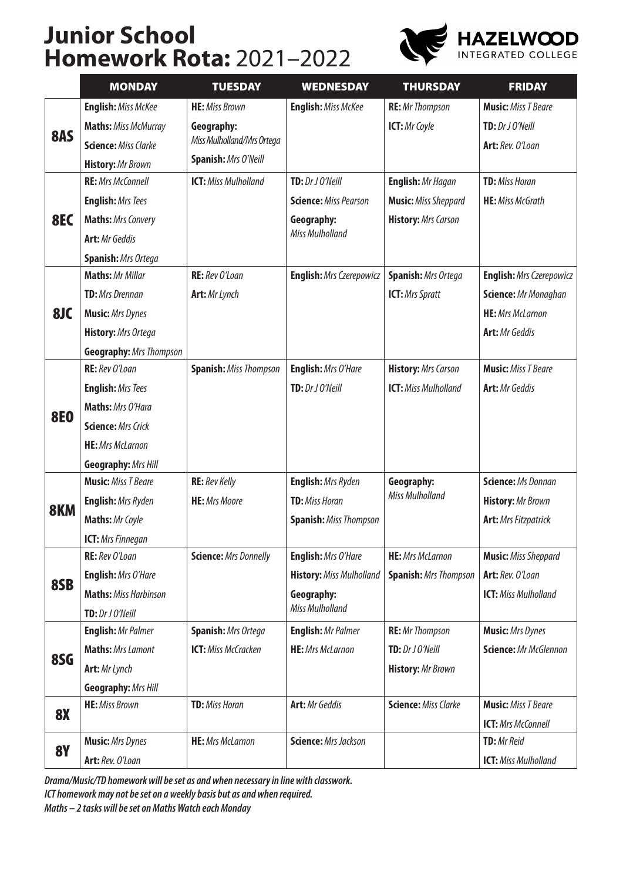## **Junior School Homework Rota:** 2021–2022



|                        | <b>MONDAY</b>                  | <b>TUESDAY</b>                | <b>WEDNESDAY</b>                | <b>THURSDAY</b>              | <b>FRIDAY</b>                   |
|------------------------|--------------------------------|-------------------------------|---------------------------------|------------------------------|---------------------------------|
| 8AS                    | <b>English: Miss McKee</b>     | <b>HE:</b> Miss Brown         | <b>English:</b> Miss McKee      | <b>RE:</b> Mr Thompson       | <b>Music:</b> Miss T Beare      |
|                        | <b>Maths: Miss McMurray</b>    | Geography:                    |                                 | ICT: Mr Coyle                | TD: Dr J O'Neill                |
|                        | <b>Science: Miss Clarke</b>    | Miss Mulholland/Mrs Ortega    |                                 |                              | Art: Rev. O'Loan                |
|                        | <b>History: Mr Brown</b>       | Spanish: Mrs O'Neill          |                                 |                              |                                 |
| 8EC                    | <b>RE:</b> Mrs McConnell       | <b>ICT:</b> Miss Mulholland   | TD: Dr J O'Neill                | <b>English: Mr Hagan</b>     | <b>TD:</b> Miss Horan           |
|                        | <b>English: Mrs Tees</b>       |                               | <b>Science: Miss Pearson</b>    | <b>Music:</b> Miss Sheppard  | <b>HE:</b> Miss McGrath         |
|                        | <b>Maths: Mrs Convery</b>      |                               | Geography:                      | <b>History:</b> Mrs Carson   |                                 |
|                        | <b>Art:</b> Mr Geddis          |                               | <b>Miss Mulholland</b>          |                              |                                 |
|                        | <b>Spanish: Mrs Ortega</b>     |                               |                                 |                              |                                 |
|                        | <b>Maths: Mr Millar</b>        | RE: Rev O'Loan                | <b>English:</b> Mrs Czerepowicz | <b>Spanish: Mrs Ortega</b>   | <b>English:</b> Mrs Czerepowicz |
|                        | <b>TD:</b> Mrs Drennan         | Art: Mr Lynch                 |                                 | <b>ICT:</b> Mrs Spratt       | Science: Mr Monaghan            |
| 8JC                    | <b>Music:</b> Mrs Dynes        |                               |                                 |                              | <b>HE:</b> Mrs McLarnon         |
|                        | History: Mrs Ortega            |                               |                                 |                              | <b>Art:</b> Mr Geddis           |
|                        | <b>Geography: Mrs Thompson</b> |                               |                                 |                              |                                 |
|                        | RE: Rev O'Loan                 | <b>Spanish: Miss Thompson</b> | English: Mrs O'Hare             | <b>History:</b> Mrs Carson   | <b>Music:</b> Miss T Beare      |
|                        | <b>English:</b> Mrs Tees       |                               | TD: Dr J O'Neill                | <b>ICT:</b> Miss Mulholland  | <b>Art:</b> Mr Geddis           |
| <b>8E0</b>             | Maths: Mrs O'Hara              |                               |                                 |                              |                                 |
|                        | <b>Science: Mrs Crick</b>      |                               |                                 |                              |                                 |
|                        | <b>HE:</b> Mrs McLarnon        |                               |                                 |                              |                                 |
|                        | <b>Geography: Mrs Hill</b>     |                               |                                 |                              |                                 |
|                        | <b>Music:</b> Miss T Beare     | <b>RE:</b> Rev Kelly          | <b>English:</b> Mrs Ryden       | Geography:                   | <b>Science: Ms Donnan</b>       |
| <b>8KM</b>             | <b>English:</b> Mrs Ryden      | <b>HE:</b> Mrs Moore          | <b>TD:</b> Miss Horan           | <b>Miss Mulholland</b>       | <b>History: Mr Brown</b>        |
|                        | Maths: Mr Coyle                |                               | <b>Spanish: Miss Thompson</b>   |                              | <b>Art:</b> Mrs Fitzpatrick     |
|                        | <b>ICT:</b> Mrs Finnegan       |                               |                                 |                              |                                 |
|                        | RE: Rev O'Loan                 | <b>Science: Mrs Donnelly</b>  | <b>English:</b> Mrs O'Hare      | <b>HE:</b> Mrs McLarnon      | <b>Music:</b> Miss Sheppard     |
| 8SB                    | <b>English:</b> Mrs O'Hare     |                               | <b>History: Miss Mulholland</b> | <b>Spanish: Mrs Thompson</b> | Art: Rev. O'Loan                |
|                        | <b>Maths: Miss Harbinson</b>   |                               | Geography:                      |                              | <b>ICT:</b> Miss Mulholland     |
|                        | TD: Dr J O'Neill               |                               | Miss Mulholland                 |                              |                                 |
| 8SG                    | <b>English: Mr Palmer</b>      | <b>Spanish: Mrs Ortega</b>    | <b>English: Mr Palmer</b>       | <b>RE:</b> Mr Thompson       | <b>Music:</b> Mrs Dynes         |
|                        | <b>Maths: Mrs Lamont</b>       | <b>ICT:</b> Miss McCracken    | <b>HE:</b> Mrs McLarnon         | TD: Dr J O'Neill             | Science: Mr McGlennon           |
|                        | Art: Mr Lynch                  |                               |                                 | <b>History: Mr Brown</b>     |                                 |
|                        | <b>Geography: Mrs Hill</b>     |                               |                                 |                              |                                 |
| <b>8X</b><br><b>8Y</b> | <b>HE:</b> Miss Brown          | <b>TD:</b> Miss Horan         | <b>Art:</b> Mr Geddis           | <b>Science: Miss Clarke</b>  | <b>Music:</b> Miss T Beare      |
|                        |                                |                               |                                 |                              | <b>ICT:</b> Mrs McConnell       |
|                        | <b>Music:</b> Mrs Dynes        | <b>HE:</b> Mrs McLarnon       | <b>Science: Mrs Jackson</b>     |                              | TD: Mr Reid                     |
|                        | Art: Rev. O'Loan               |                               |                                 |                              | <b>ICT:</b> Miss Mulholland     |

*Drama/Music/TD homework will be set as and when necessary in line with classwork.*

*ICT homework may not be set on a weekly basis but as and when required.*

*Maths – 2 tasks will be set on Maths Watch each Monday*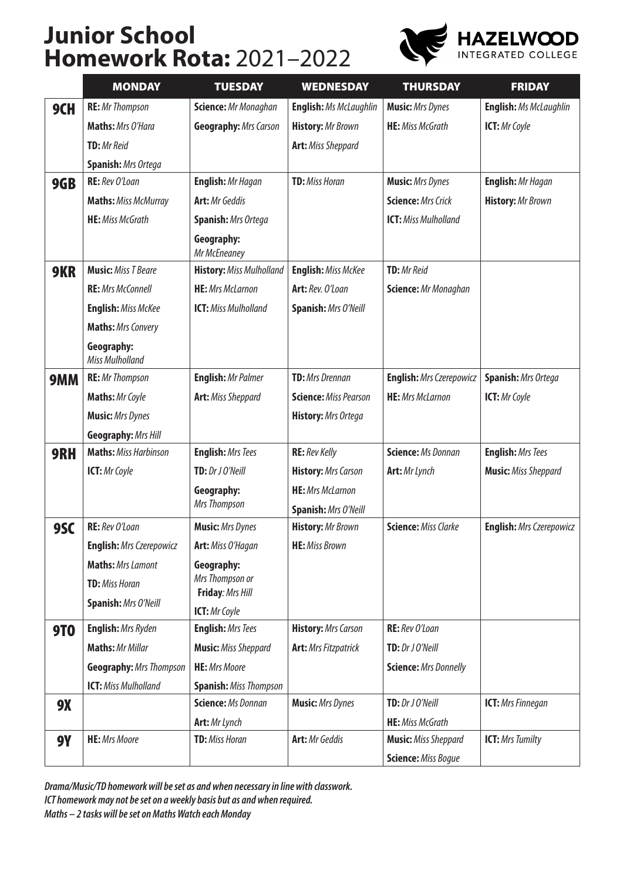## **Junior School Homework Rota:** 2021–2022



|            | <b>MONDAY</b>                        | <b>TUESDAY</b>                      | <b>WEDNESDAY</b>              | <b>THURSDAY</b>              | <b>FRIDAY</b>                   |
|------------|--------------------------------------|-------------------------------------|-------------------------------|------------------------------|---------------------------------|
| 9CH        | <b>RE:</b> Mr Thompson               | Science: Mr Monaghan                | <b>English:</b> Ms McLaughlin | <b>Music:</b> Mrs Dynes      | <b>English: Ms McLaughlin</b>   |
|            | Maths: Mrs O'Hara                    | <b>Geography: Mrs Carson</b>        | <b>History: Mr Brown</b>      | <b>HE:</b> Miss McGrath      | ICT: Mr Coyle                   |
|            | <b>TD:</b> Mr Reid                   |                                     | <b>Art: Miss Sheppard</b>     |                              |                                 |
|            | <b>Spanish: Mrs Ortega</b>           |                                     |                               |                              |                                 |
| 9GB        | RE: Rev O'Loan                       | English: Mr Hagan                   | <b>TD:</b> Miss Horan         | <b>Music:</b> Mrs Dynes      | <b>English: Mr Hagan</b>        |
|            | <b>Maths: Miss McMurray</b>          | <b>Art:</b> Mr Geddis               |                               | <b>Science: Mrs Crick</b>    | <b>History:</b> Mr Brown        |
|            | <b>HE:</b> Miss McGrath              | <b>Spanish: Mrs Ortega</b>          |                               | <b>ICT:</b> Miss Mulholland  |                                 |
|            |                                      | Geography:<br>Mr McEneaney          |                               |                              |                                 |
| 9KR        | <b>Music:</b> Miss T Beare           | <b>History: Miss Mulholland</b>     | <b>English:</b> Miss McKee    | <b>TD:</b> Mr Reid           |                                 |
|            | <b>RE:</b> Mrs McConnell             | <b>HE:</b> Mrs McLarnon             | Art: Rev. O'Loan              | Science: Mr Monaghan         |                                 |
|            | <b>English:</b> Miss McKee           | <b>ICT:</b> Miss Mulholland         | <b>Spanish: Mrs O'Neill</b>   |                              |                                 |
|            | <b>Maths: Mrs Convery</b>            |                                     |                               |                              |                                 |
|            | Geography:<br><b>Miss Mulholland</b> |                                     |                               |                              |                                 |
| 9MM        | <b>RE:</b> Mr Thompson               | <b>English: Mr Palmer</b>           | <b>TD:</b> Mrs Drennan        | English: Mrs Czerepowicz     | <b>Spanish: Mrs Ortega</b>      |
|            | Maths: Mr Coyle                      | <b>Art:</b> Miss Sheppard           | <b>Science: Miss Pearson</b>  | <b>HE:</b> Mrs McLarnon      | ICT: Mr Coyle                   |
|            | <b>Music:</b> Mrs Dynes              |                                     | <b>History:</b> Mrs Ortega    |                              |                                 |
|            | <b>Geography: Mrs Hill</b>           |                                     |                               |                              |                                 |
| 9RH        | <b>Maths: Miss Harbinson</b>         | <b>English: Mrs Tees</b>            | <b>RE:</b> Rev Kelly          | <b>Science: Ms Donnan</b>    | <b>English: Mrs Tees</b>        |
|            | <b>ICT:</b> Mr Coyle                 | TD: Dr J O'Neill                    | <b>History:</b> Mrs Carson    | <b>Art:</b> Mr Lynch         | <b>Music:</b> Miss Sheppard     |
|            |                                      | Geography:                          | <b>HE:</b> Mrs McLarnon       |                              |                                 |
|            |                                      | Mrs Thompson                        | Spanish: Mrs O'Neill          |                              |                                 |
| <b>9SC</b> | RE: Rev O'Loan                       | <b>Music:</b> Mrs Dynes             | <b>History:</b> Mr Brown      | <b>Science: Miss Clarke</b>  | <b>English:</b> Mrs Czerepowicz |
|            | <b>English:</b> Mrs Czerepowicz      | Art: Miss O'Hagan                   | <b>HE:</b> Miss Brown         |                              |                                 |
|            | <b>Maths: Mrs Lamont</b>             | Geography:                          |                               |                              |                                 |
|            | <b>TD:</b> Miss Horan                | Mrs Thompson or<br>Friday: Mrs Hill |                               |                              |                                 |
|            | Spanish: Mrs O'Neill                 | ICT: Mr Coyle                       |                               |                              |                                 |
| <b>9TO</b> | <b>English:</b> Mrs Ryden            | <b>English: Mrs Tees</b>            | <b>History:</b> Mrs Carson    | RE: Rev O'Loan               |                                 |
|            | <b>Maths: Mr Millar</b>              | <b>Music:</b> Miss Sheppard         | <b>Art: Mrs Fitzpatrick</b>   | TD: Dr J O'Neill             |                                 |
|            | <b>Geography: Mrs Thompson</b>       | <b>HE:</b> Mrs Moore                |                               | <b>Science: Mrs Donnelly</b> |                                 |
|            | <b>ICT:</b> Miss Mulholland          | <b>Spanish: Miss Thompson</b>       |                               |                              |                                 |
| <b>9X</b>  |                                      | <b>Science: Ms Donnan</b>           | <b>Music:</b> Mrs Dynes       | TD: Dr J O'Neill             | <b>ICT:</b> Mrs Finnegan        |
|            |                                      | Art: Mr Lynch                       |                               | <b>HE:</b> Miss McGrath      |                                 |
| <b>9Y</b>  | <b>HE:</b> Mrs Moore                 | <b>TD:</b> Miss Horan               | <b>Art:</b> Mr Geddis         | <b>Music:</b> Miss Sheppard  | <b>ICT: Mrs Tumilty</b>         |
|            |                                      |                                     |                               | <b>Science: Miss Bogue</b>   |                                 |

*Drama/Music/TD homework will be set as and when necessary in line with classwork. ICT homework may not be set on a weekly basis but as and when required. Maths – 2 tasks will be set on Maths Watch each Monday*